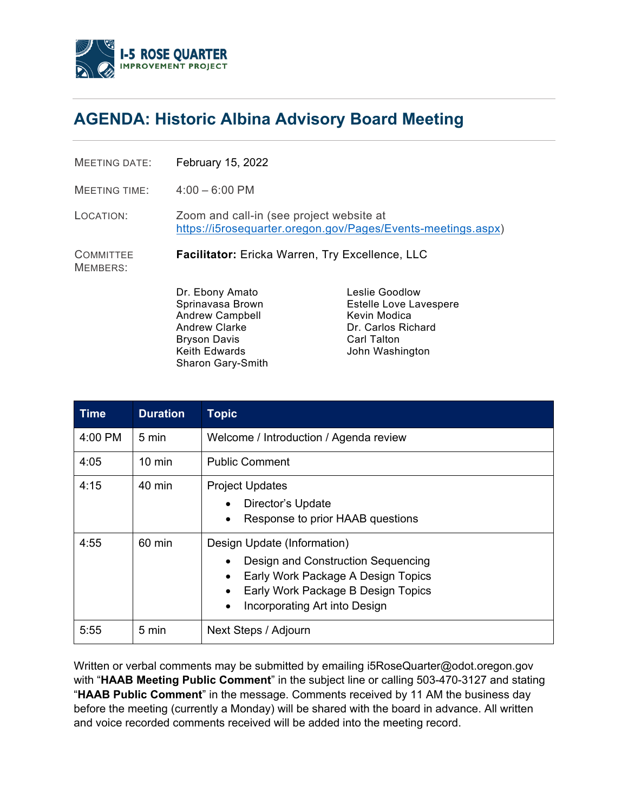

## **AGENDA: Historic Albina Advisory Board Meeting**

MEETING DATE: February 15, 2022

MEETING TIME: 4:00 – 6:00 PM

LOCATION: Zoom and call-in (see project website at [https://i5rosequarter.oregon.gov/Pages/Events-meetings.aspx\)](https://i5rosequarter.oregon.gov/Pages/Events-meetings.aspx)

**COMMITTEE Facilitator:** Ericka Warren, Try Excellence, LLC

MEMBERS:

Dr. Ebony Amato Sprinavasa Brown Andrew Campbell Andrew Clarke Bryson Davis Keith Edwards Sharon Gary-Smith

Leslie Goodlow Estelle Love Lavespere Kevin Modica Dr. Carlos Richard Carl Talton John Washington

| <b>Time</b> | <b>Duration</b>  | <b>Topic</b>                                                                                                                                                                                |
|-------------|------------------|---------------------------------------------------------------------------------------------------------------------------------------------------------------------------------------------|
| $4:00$ PM   | 5 min            | Welcome / Introduction / Agenda review                                                                                                                                                      |
| 4:05        | $10 \text{ min}$ | <b>Public Comment</b>                                                                                                                                                                       |
| 4:15        | 40 min           | <b>Project Updates</b><br>Director's Update<br>Response to prior HAAB questions<br>$\bullet$                                                                                                |
| 4:55        | 60 min           | Design Update (Information)<br>Design and Construction Sequencing<br>Early Work Package A Design Topics<br>Early Work Package B Design Topics<br>Incorporating Art into Design<br>$\bullet$ |
| 5:55        | 5 min            | Next Steps / Adjourn                                                                                                                                                                        |

Written or verbal comments may be submitted by emailing i5RoseQuarter@odot.oregon.gov with "**HAAB Meeting Public Comment**" in the subject line or calling 503-470-3127 and stating "**HAAB Public Comment**" in the message. Comments received by 11 AM the business day before the meeting (currently a Monday) will be shared with the board in advance. All written and voice recorded comments received will be added into the meeting record.